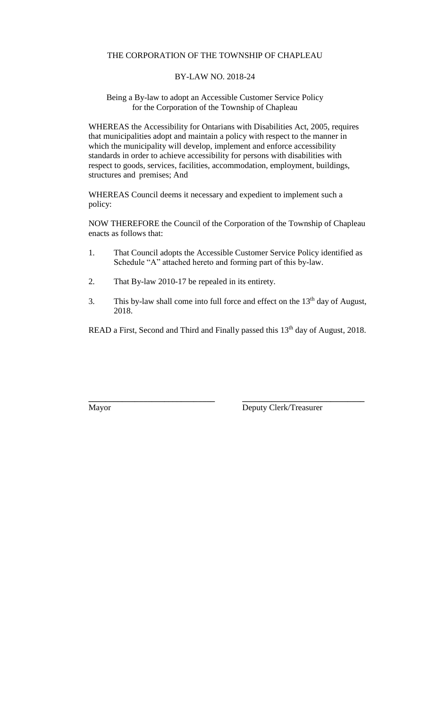#### THE CORPORATION OF THE TOWNSHIP OF CHAPLEAU

#### BY-LAW NO. 2018-24

#### Being a By-law to adopt an Accessible Customer Service Policy for the Corporation of the Township of Chapleau

WHEREAS the Accessibility for Ontarians with Disabilities Act, 2005, requires that municipalities adopt and maintain a policy with respect to the manner in which the municipality will develop, implement and enforce accessibility standards in order to achieve accessibility for persons with disabilities with respect to goods, services, facilities, accommodation, employment, buildings, structures and premises; And

WHEREAS Council deems it necessary and expedient to implement such a policy:

NOW THEREFORE the Council of the Corporation of the Township of Chapleau enacts as follows that:

- 1. That Council adopts the Accessible Customer Service Policy identified as Schedule "A" attached hereto and forming part of this by-law.
- 2. That By-law 2010-17 be repealed in its entirety.
- 3. This by-law shall come into full force and effect on the  $13<sup>th</sup>$  day of August, 2018.

READ a First, Second and Third and Finally passed this 13<sup>th</sup> day of August, 2018.

**\_\_\_\_\_\_\_\_\_\_\_\_\_\_\_\_\_\_\_\_\_\_\_\_\_\_\_\_\_\_ \_\_\_\_\_\_\_\_\_\_\_\_\_\_\_\_\_\_\_\_\_\_\_\_\_\_\_\_\_**

Mayor Deputy Clerk/Treasurer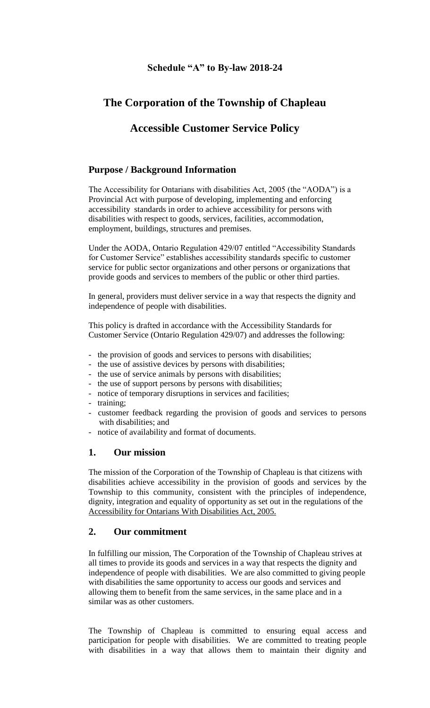#### **Schedule "A" to By-law 2018-24**

## **The Corporation of the Township of Chapleau**

## **Accessible Customer Service Policy**

#### **Purpose / Background Information**

The Accessibility for Ontarians with disabilities Act, 2005 (the "AODA") is a Provincial Act with purpose of developing, implementing and enforcing accessibility standards in order to achieve accessibility for persons with disabilities with respect to goods, services, facilities, accommodation, employment, buildings, structures and premises.

Under the AODA, Ontario Regulation 429/07 entitled "Accessibility Standards for Customer Service" establishes accessibility standards specific to customer service for public sector organizations and other persons or organizations that provide goods and services to members of the public or other third parties.

In general, providers must deliver service in a way that respects the dignity and independence of people with disabilities.

This policy is drafted in accordance with the Accessibility Standards for Customer Service (Ontario Regulation 429/07) and addresses the following:

- the provision of goods and services to persons with disabilities;
- the use of assistive devices by persons with disabilities;
- the use of service animals by persons with disabilities;
- the use of support persons by persons with disabilities;
- notice of temporary disruptions in services and facilities;
- training;
- customer feedback regarding the provision of goods and services to persons with disabilities; and
- notice of availability and format of documents.

#### **1. Our mission**

The mission of the Corporation of the Township of Chapleau is that citizens with disabilities achieve accessibility in the provision of goods and services by the Township to this community, consistent with the principles of independence, dignity, integration and equality of opportunity as set out in the regulations of the Accessibility for Ontarians With Disabilities Act, 2005.

#### **2. Our commitment**

In fulfilling our mission, The Corporation of the Township of Chapleau strives at all times to provide its goods and services in a way that respects the dignity and independence of people with disabilities. We are also committed to giving people with disabilities the same opportunity to access our goods and services and allowing them to benefit from the same services, in the same place and in a similar was as other customers.

The Township of Chapleau is committed to ensuring equal access and participation for people with disabilities. We are committed to treating people with disabilities in a way that allows them to maintain their dignity and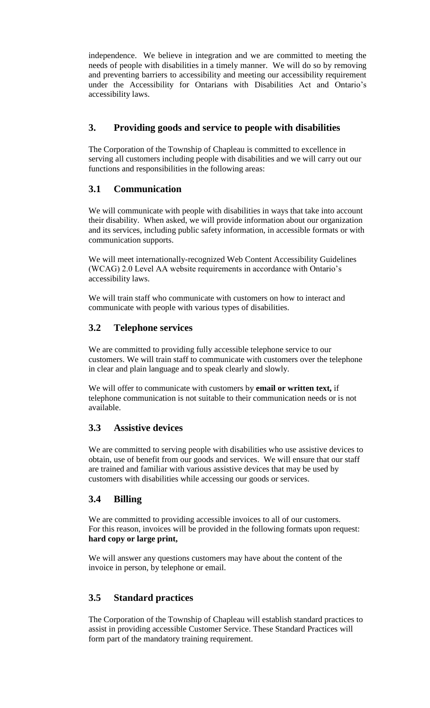independence. We believe in integration and we are committed to meeting the needs of people with disabilities in a timely manner. We will do so by removing and preventing barriers to accessibility and meeting our accessibility requirement under the Accessibility for Ontarians with Disabilities Act and Ontario's accessibility laws.

## **3. Providing goods and service to people with disabilities**

The Corporation of the Township of Chapleau is committed to excellence in serving all customers including people with disabilities and we will carry out our functions and responsibilities in the following areas:

## **3.1 Communication**

We will communicate with people with disabilities in ways that take into account their disability. When asked, we will provide information about our organization and its services, including public safety information, in accessible formats or with communication supports.

We will meet internationally-recognized Web Content Accessibility Guidelines (WCAG) 2.0 Level AA website requirements in accordance with Ontario's accessibility laws.

We will train staff who communicate with customers on how to interact and communicate with people with various types of disabilities.

## **3.2 Telephone services**

We are committed to providing fully accessible telephone service to our customers. We will train staff to communicate with customers over the telephone in clear and plain language and to speak clearly and slowly.

We will offer to communicate with customers by **email or written text,** if telephone communication is not suitable to their communication needs or is not available.

## **3.3 Assistive devices**

We are committed to serving people with disabilities who use assistive devices to obtain, use of benefit from our goods and services. We will ensure that our staff are trained and familiar with various assistive devices that may be used by customers with disabilities while accessing our goods or services.

## **3.4 Billing**

We are committed to providing accessible invoices to all of our customers. For this reason, invoices will be provided in the following formats upon request: **hard copy or large print,**

We will answer any questions customers may have about the content of the invoice in person, by telephone or email.

## **3.5 Standard practices**

The Corporation of the Township of Chapleau will establish standard practices to assist in providing accessible Customer Service. These Standard Practices will form part of the mandatory training requirement.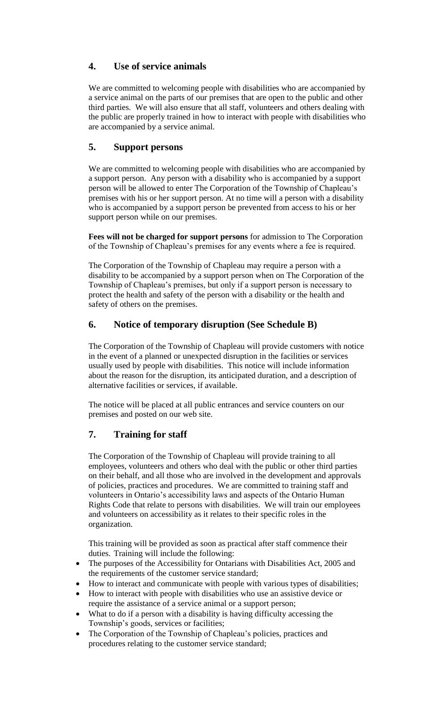## **4. Use of service animals**

We are committed to welcoming people with disabilities who are accompanied by a service animal on the parts of our premises that are open to the public and other third parties. We will also ensure that all staff, volunteers and others dealing with the public are properly trained in how to interact with people with disabilities who are accompanied by a service animal.

## **5. Support persons**

We are committed to welcoming people with disabilities who are accompanied by a support person. Any person with a disability who is accompanied by a support person will be allowed to enter The Corporation of the Township of Chapleau's premises with his or her support person. At no time will a person with a disability who is accompanied by a support person be prevented from access to his or her support person while on our premises.

**Fees will not be charged for support persons** for admission to The Corporation of the Township of Chapleau's premises for any events where a fee is required.

The Corporation of the Township of Chapleau may require a person with a disability to be accompanied by a support person when on The Corporation of the Township of Chapleau's premises, but only if a support person is necessary to protect the health and safety of the person with a disability or the health and safety of others on the premises.

## **6. Notice of temporary disruption (See Schedule B)**

The Corporation of the Township of Chapleau will provide customers with notice in the event of a planned or unexpected disruption in the facilities or services usually used by people with disabilities. This notice will include information about the reason for the disruption, its anticipated duration, and a description of alternative facilities or services, if available.

The notice will be placed at all public entrances and service counters on our premises and posted on our web site.

## **7. Training for staff**

The Corporation of the Township of Chapleau will provide training to all employees, volunteers and others who deal with the public or other third parties on their behalf, and all those who are involved in the development and approvals of policies, practices and procedures. We are committed to training staff and volunteers in Ontario's accessibility laws and aspects of the Ontario Human Rights Code that relate to persons with disabilities. We will train our employees and volunteers on accessibility as it relates to their specific roles in the organization.

This training will be provided as soon as practical after staff commence their duties. Training will include the following:

- The purposes of the Accessibility for Ontarians with Disabilities Act, 2005 and the requirements of the customer service standard;
- How to interact and communicate with people with various types of disabilities;
- How to interact with people with disabilities who use an assistive device or require the assistance of a service animal or a support person;
- What to do if a person with a disability is having difficulty accessing the Township's goods, services or facilities;
- The Corporation of the Township of Chapleau's policies, practices and procedures relating to the customer service standard;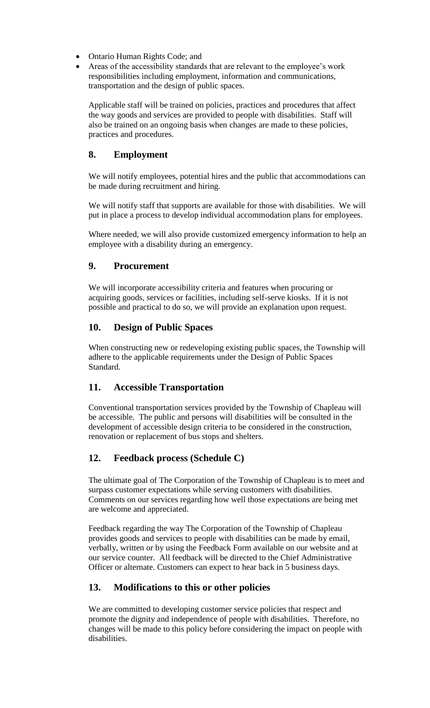- Ontario Human Rights Code; and
- Areas of the accessibility standards that are relevant to the employee's work responsibilities including employment, information and communications, transportation and the design of public spaces.

Applicable staff will be trained on policies, practices and procedures that affect the way goods and services are provided to people with disabilities. Staff will also be trained on an ongoing basis when changes are made to these policies, practices and procedures.

## **8. Employment**

We will notify employees, potential hires and the public that accommodations can be made during recruitment and hiring.

We will notify staff that supports are available for those with disabilities. We will put in place a process to develop individual accommodation plans for employees.

Where needed, we will also provide customized emergency information to help an employee with a disability during an emergency.

## **9. Procurement**

We will incorporate accessibility criteria and features when procuring or acquiring goods, services or facilities, including self-serve kiosks. If it is not possible and practical to do so, we will provide an explanation upon request.

## **10. Design of Public Spaces**

When constructing new or redeveloping existing public spaces, the Township will adhere to the applicable requirements under the Design of Public Spaces Standard.

## **11. Accessible Transportation**

Conventional transportation services provided by the Township of Chapleau will be accessible. The public and persons will disabilities will be consulted in the development of accessible design criteria to be considered in the construction, renovation or replacement of bus stops and shelters.

## **12. Feedback process (Schedule C)**

The ultimate goal of The Corporation of the Township of Chapleau is to meet and surpass customer expectations while serving customers with disabilities. Comments on our services regarding how well those expectations are being met are welcome and appreciated.

Feedback regarding the way The Corporation of the Township of Chapleau provides goods and services to people with disabilities can be made by email, verbally, written or by using the Feedback Form available on our website and at our service counter. All feedback will be directed to the Chief Administrative Officer or alternate. Customers can expect to hear back in 5 business days.

## **13. Modifications to this or other policies**

We are committed to developing customer service policies that respect and promote the dignity and independence of people with disabilities. Therefore, no changes will be made to this policy before considering the impact on people with disabilities.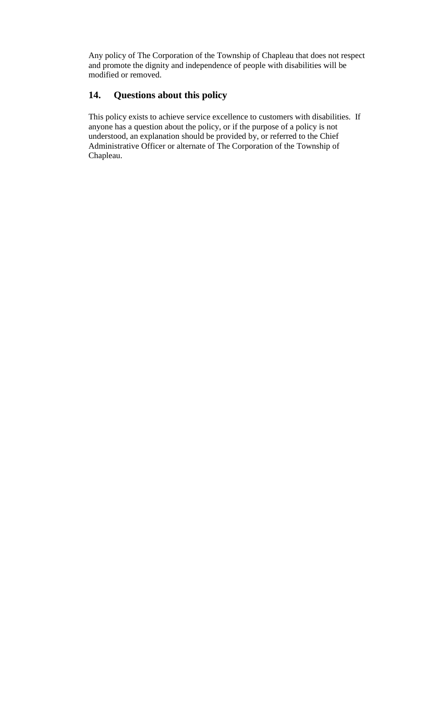Any policy of The Corporation of the Township of Chapleau that does not respect and promote the dignity and independence of people with disabilities will be modified or removed.

## **14. Questions about this policy**

This policy exists to achieve service excellence to customers with disabilities. If anyone has a question about the policy, or if the purpose of a policy is not understood, an explanation should be provided by, or referred to the Chief Administrative Officer or alternate of The Corporation of the Township of Chapleau.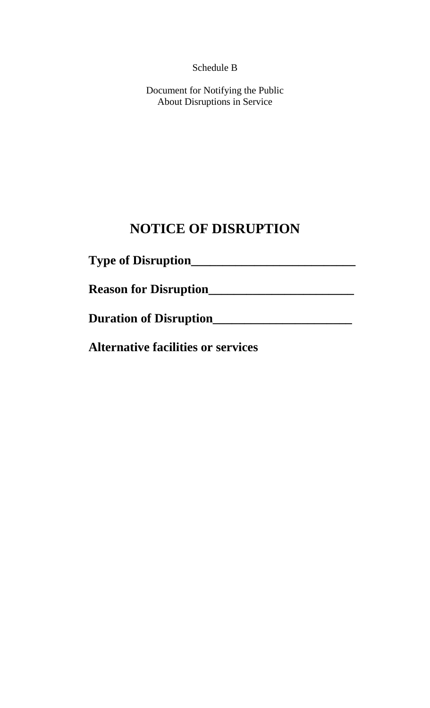Schedule B

Document for Notifying the Public About Disruptions in Service

# **NOTICE OF DISRUPTION**

| <b>Type of Disruption</b>                 |  |
|-------------------------------------------|--|
| <b>Reason for Disruption</b>              |  |
| <b>Duration of Disruption</b>             |  |
| <b>Alternative facilities or services</b> |  |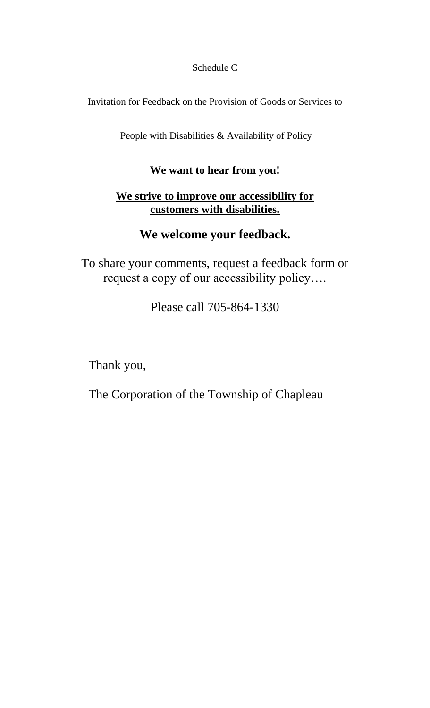Schedule C

Invitation for Feedback on the Provision of Goods or Services to

People with Disabilities & Availability of Policy

# **We want to hear from you!**

# **We strive to improve our accessibility for customers with disabilities.**

# **We welcome your feedback.**

To share your comments, request a feedback form or request a copy of our accessibility policy….

Please call 705-864-1330

Thank you,

The Corporation of the Township of Chapleau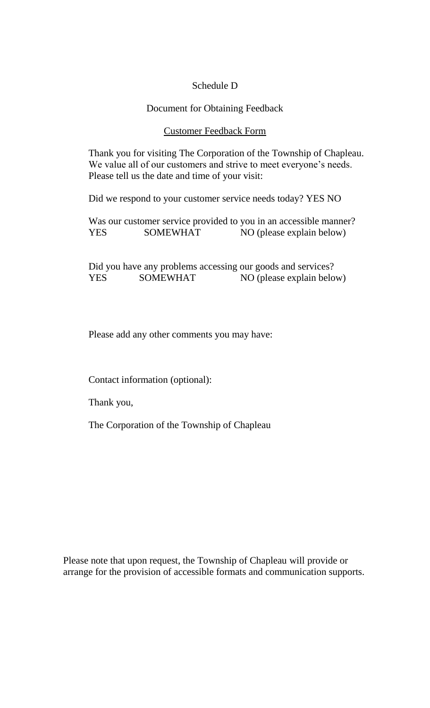## Schedule D

#### Document for Obtaining Feedback

#### Customer Feedback Form

Thank you for visiting The Corporation of the Township of Chapleau. We value all of our customers and strive to meet everyone's needs. Please tell us the date and time of your visit:

Did we respond to your customer service needs today? YES NO

Was our customer service provided to you in an accessible manner? YES SOMEWHAT NO (please explain below)

Did you have any problems accessing our goods and services? YES SOMEWHAT NO (please explain below)

Please add any other comments you may have:

Contact information (optional):

Thank you,

The Corporation of the Township of Chapleau

Please note that upon request, the Township of Chapleau will provide or arrange for the provision of accessible formats and communication supports.